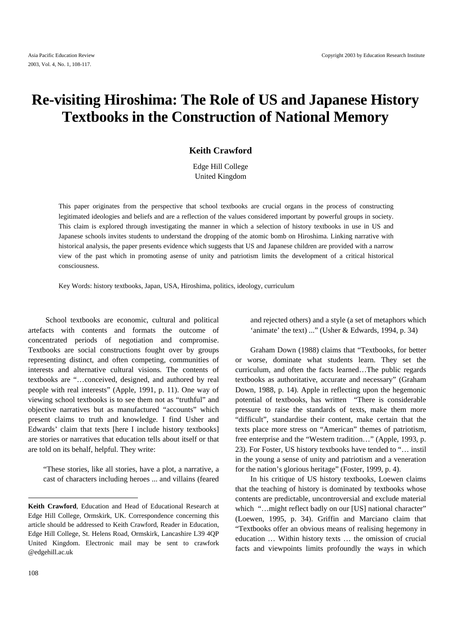# **Re-visiting Hiroshima: The Role of US and Japanese History Textbooks in the Construction of National Memory**

## **Keith Crawford**

Edge Hill College United Kingdom

This paper originates from the perspective that school textbooks are crucial organs in the process of constructing legitimated ideologies and beliefs and are a reflection of the values considered important by powerful groups in society. This claim is explored through investigating the manner in which a selection of history textbooks in use in US and Japanese schools invites students to understand the dropping of the atomic bomb on Hiroshima. Linking narrative with historical analysis, the paper presents evidence which suggests that US and Japanese children are provided with a narrow view of the past which in promoting asense of unity and patriotism limits the development of a critical historical consciousness.

Key Words: history textbooks, Japan, USA, Hiroshima, politics, ideology, curriculum

School textbooks are economic, cultural and political artefacts with contents and formats the outcome of concentrated periods of negotiation and compromise. Textbooks are social constructions fought over by groups representing distinct, and often competing, communities of interests and alternative cultural visions. The contents of textbooks are "…conceived, designed, and authored by real people with real interests" (Apple, 1991, p. 11). One way of viewing school textbooks is to see them not as "truthful" and objective narratives but as manufactured "accounts" which present claims to truth and knowledge. I find Usher and Edwards' claim that texts [here I include history textbooks] are stories or narratives that education tells about itself or that are told on its behalf, helpful. They write:

"These stories, like all stories, have a plot, a narrative, a cast of characters including heroes ... and villains (feared

 $\overline{\phantom{a}}$ 

and rejected others) and a style (a set of metaphors which 'animate' the text) ..." (Usher & Edwards, 1994, p. 34)

Graham Down (1988) claims that "Textbooks, for better or worse, dominate what students learn. They set the curriculum, and often the facts learned…The public regards textbooks as authoritative, accurate and necessary" (Graham Down, 1988, p. 14). Apple in reflecting upon the hegemonic potential of textbooks, has written "There is considerable pressure to raise the standards of texts, make them more "difficult", standardise their content, make certain that the texts place more stress on "American" themes of patriotism, free enterprise and the "Western tradition…" (Apple, 1993, p. 23). For Foster, US history textbooks have tended to "… instil in the young a sense of unity and patriotism and a veneration for the nation's glorious heritage" (Foster, 1999, p. 4).

In his critique of US history textbooks, Loewen claims that the teaching of history is dominated by textbooks whose contents are predictable, uncontroversial and exclude material which "...might reflect badly on our [US] national character" (Loewen, 1995, p. 34). Griffin and Marciano claim that "Textbooks offer an obvious means of realising hegemony in education … Within history texts … the omission of crucial facts and viewpoints limits profoundly the ways in which

**Keith Crawford**, Education and Head of Educational Research at Edge Hill College, Ormskirk, UK. Correspondence concerning this article should be addressed to Keith Crawford, Reader in Education, Edge Hill College, St. Helens Road, Ormskirk, Lancashire L39 4QP United Kingdom. Electronic mail may be sent to crawfork @edgehill.ac.uk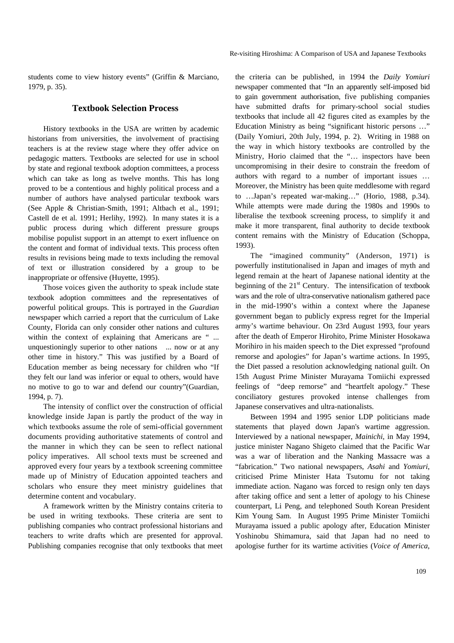students come to view history events" (Griffin & Marciano, 1979, p. 35).

## **Textbook Selection Process**

History textbooks in the USA are written by academic historians from universities, the involvement of practising teachers is at the review stage where they offer advice on pedagogic matters. Textbooks are selected for use in school by state and regional textbook adoption committees, a process which can take as long as twelve months. This has long proved to be a contentious and highly political process and a number of authors have analysed particular textbook wars (See Apple & Christian-Smith, 1991; Altbach et al., 1991; Castell de et al*.* 1991; Herlihy, 1992). In many states it is a public process during which different pressure groups mobilise populist support in an attempt to exert influence on the content and format of individual texts. This process often results in revisions being made to texts including the removal of text or illustration considered by a group to be inappropriate or offensive (Huyette, 1995).

Those voices given the authority to speak include state textbook adoption committees and the representatives of powerful political groups. This is portrayed in the *Guardian* newspaper which carried a report that the curriculum of Lake County, Florida can only consider other nations and cultures within the context of explaining that Americans are " ... unquestioningly superior to other nations ... now or at any other time in history." This was justified by a Board of Education member as being necessary for children who "If they felt our land was inferior or equal to others, would have no motive to go to war and defend our country"(Guardian, 1994, p. 7).

The intensity of conflict over the construction of official knowledge inside Japan is partly the product of the way in which textbooks assume the role of semi-official government documents providing authoritative statements of control and the manner in which they can be seen to reflect national policy imperatives. All school texts must be screened and approved every four years by a textbook screening committee made up of Ministry of Education appointed teachers and scholars who ensure they meet ministry guidelines that determine content and vocabulary.

A framework written by the Ministry contains criteria to be used in writing textbooks. These criteria are sent to publishing companies who contract professional historians and teachers to write drafts which are presented for approval. Publishing companies recognise that only textbooks that meet

the criteria can be published, in 1994 the *Daily Yomiuri* newspaper commented that "In an apparently self-imposed bid to gain government authorisation, five publishing companies have submitted drafts for primary-school social studies textbooks that include all 42 figures cited as examples by the Education Ministry as being "significant historic persons …" (Daily Yomiuri*,* 20th July, 1994, p. 2). Writing in 1988 on the way in which history textbooks are controlled by the Ministry, Horio claimed that the "… inspectors have been uncompromising in their desire to constrain the freedom of authors with regard to a number of important issues … Moreover, the Ministry has been quite meddlesome with regard to …Japan's repeated war-making…" (Horio, 1988, p.34). While attempts were made during the 1980s and 1990s to liberalise the textbook screening process, to simplify it and make it more transparent, final authority to decide textbook content remains with the Ministry of Education (Schoppa, 1993).

The "imagined community" (Anderson, 1971) is powerfully institutionalised in Japan and images of myth and legend remain at the heart of Japanese national identity at the beginning of the 21st Century.The intensification of textbook wars and the role of ultra-conservative nationalism gathered pace in the mid-1990's within a context where the Japanese government began to publicly express regret for the Imperial army's wartime behaviour. On 23rd August 1993, four years after the death of Emperor Hirohito, Prime Minister Hosokawa Morihiro in his maiden speech to the Diet expressed "profound remorse and apologies" for Japan's wartime actions. In 1995, the Diet passed a resolution acknowledging national guilt. On 15th August Prime Minister Murayama Tomiichi expressed feelings of "deep remorse" and "heartfelt apology." These conciliatory gestures provoked intense challenges from Japanese conservatives and ultra-nationalists.

Between 1994 and 1995 senior LDP politicians made statements that played down Japan's wartime aggression. Interviewed by a national newspaper, *Mainichi*, in May 1994, justice minister Nagano Shigeto claimed that the Pacific War was a war of liberation and the Nanking Massacre was a "fabrication." Two national newspapers, *Asahi* and *Yomiuri*, criticised Prime Minister Hata Tsutomu for not taking immediate action. Nagano was forced to resign only ten days after taking office and sent a letter of apology to his Chinese counterpart, Li Peng, and telephoned South Korean President Kim Young Sam. In August 1995 Prime Minister Tomiichi Murayama issued a public apology after, Education Minister Yoshinobu Shimamura, said that Japan had no need to apologise further for its wartime activities (*Voice of America*,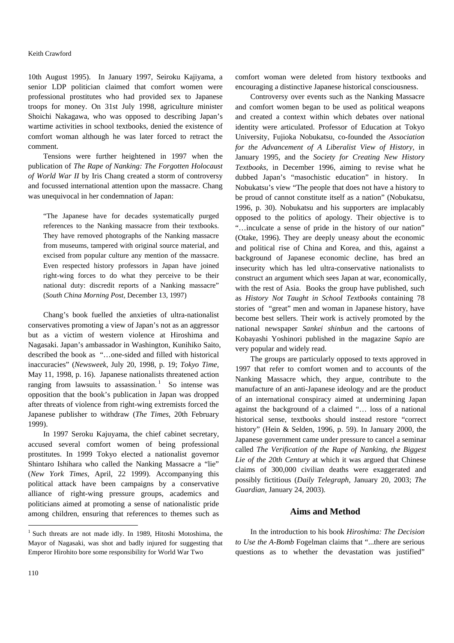#### Keith Crawford

10th August 1995). In January 1997, Seiroku Kajiyama, a senior LDP politician claimed that comfort women were professional prostitutes who had provided sex to Japanese troops for money. On 31st July 1998, agriculture minister Shoichi Nakagawa, who was opposed to describing Japan's wartime activities in school textbooks, denied the existence of comfort woman although he was later forced to retract the comment.

Tensions were further heightened in 1997 when the publication of *The Rape of Nanking: The Forgotten Holocaust of World War II* by Iris Chang created a storm of controversy and focussed international attention upon the massacre. Chang was unequivocal in her condemnation of Japan:

"The Japanese have for decades systematically purged references to the Nanking massacre from their textbooks. They have removed photographs of the Nanking massacre from museums, tampered with original source material, and excised from popular culture any mention of the massacre. Even respected history professors in Japan have joined right-wing forces to do what they perceive to be their national duty: discredit reports of a Nanking massacre" (*South China Morning Post,* December 13, 1997)

Chang's book fuelled the anxieties of ultra-nationalist conservatives promoting a view of Japan's not as an aggressor but as a victim of western violence at Hiroshima and Nagasaki. Japan's ambassador in Washington, Kunihiko Saito, described the book as "…one-sided and filled with historical inaccuracies" (*Newsweek*, July 20, 1998, p. 19; *Tokyo Time,* May 11, 1998, p. 16). Japanese nationalists threatened action ranging from lawsuits to assassination.<sup>1</sup> So intense was opposition that the book's publication in Japan was dropped after threats of violence from right-wing extremists forced the Japanese publisher to withdraw (*The Times*, 20th February 1999).

In 1997 Seroku Kajuyama, the chief cabinet secretary, accused several comfort women of being professional prostitutes. In 1999 Tokyo elected a nationalist governor Shintaro Ishihara who called the Nanking Massacre a "lie" (*New York Times*, April, 22 1999). Accompanying this political attack have been campaigns by a conservative alliance of right-wing pressure groups, academics and politicians aimed at promoting a sense of nationalistic pride among children, ensuring that references to themes such as

comfort woman were deleted from history textbooks and encouraging a distinctive Japanese historical consciousness.

Controversy over events such as the Nanking Massacre and comfort women began to be used as political weapons and created a context within which debates over national identity were articulated. Professor of Education at Tokyo University, Fujioka Nobukatsu, co-founded the *Association for the Advancement of A Liberalist View of History,* in January 1995, and the *Society for Creating New History Textbooks*, in December 1996, aiming to revise what he dubbed Japan's "masochistic education" in history. In Nobukatsu's view "The people that does not have a history to be proud of cannot constitute itself as a nation" (Nobukatsu, 1996, p. 30). Nobukatsu and his supporters are implacably opposed to the politics of apology. Their objective is to "…inculcate a sense of pride in the history of our nation" (Otake, 1996). They are deeply uneasy about the economic and political rise of China and Korea, and this, against a background of Japanese economic decline, has bred an insecurity which has led ultra-conservative nationalists to construct an argument which sees Japan at war, economically, with the rest of Asia. Books the group have published, such as *History Not Taught in School Textbooks* containing 78 stories of "great" men and woman in Japanese history, have become best sellers. Their work is actively promoted by the national newspaper *Sankei shinbun* and the cartoons of Kobayashi Yoshinori published in the magazine *Sapio* are very popular and widely read.

The groups are particularly opposed to texts approved in 1997 that refer to comfort women and to accounts of the Nanking Massacre which, they argue, contribute to the manufacture of an anti-Japanese ideology and are the product of an international conspiracy aimed at undermining Japan against the background of a claimed "… loss of a national historical sense, textbooks should instead restore "correct history" (Hein & Selden, 1996, p. 59). In January 2000, the Japanese government came under pressure to cancel a seminar called *The Verification of the Rape of Nanking, the Biggest Lie of the 20th Century* at which it was argued that Chinese claims of 300,000 civilian deaths were exaggerated and possibly fictitious (*Daily Telegraph,* January 20, 2003; *The Guardian*, January 24, 2003).

#### **Aims and Method**

In the introduction to his book *Hiroshima: The Decision to Use the A-Bomb* Fogelman claims that "...there are serious questions as to whether the devastation was justified"

 $\overline{\phantom{a}}$ 

<sup>&</sup>lt;sup>1</sup> Such threats are not made idly. In 1989, Hitoshi Motoshima, the Mayor of Nagasaki, was shot and badly injured for suggesting that Emperor Hirohito bore some responsibility for World War Two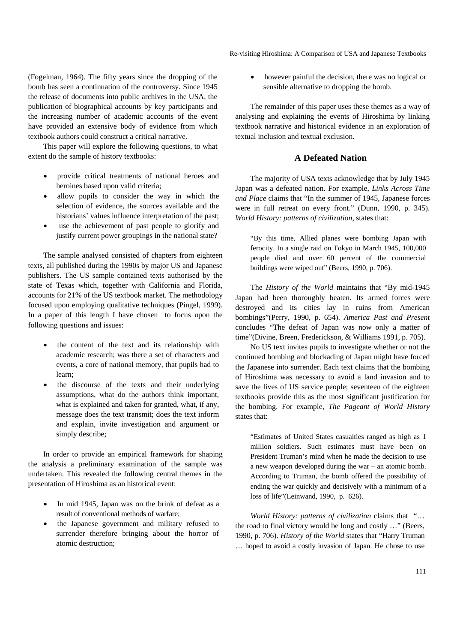Re-visiting Hiroshima: A Comparison of USA and Japanese Textbooks

(Fogelman, 1964). The fifty years since the dropping of the bomb has seen a continuation of the controversy. Since 1945 the release of documents into public archives in the USA, the publication of biographical accounts by key participants and the increasing number of academic accounts of the event have provided an extensive body of evidence from which textbook authors could construct a critical narrative.

This paper will explore the following questions, to what extent do the sample of history textbooks:

- provide critical treatments of national heroes and heroines based upon valid criteria;
- allow pupils to consider the way in which the selection of evidence, the sources available and the historians' values influence interpretation of the past;
- use the achievement of past people to glorify and justify current power groupings in the national state?

The sample analysed consisted of chapters from eighteen texts, all published during the 1990s by major US and Japanese publishers. The US sample contained texts authorised by the state of Texas which, together with California and Florida, accounts for 21% of the US textbook market. The methodology focused upon employing qualitative techniques (Pingel, 1999). In a paper of this length I have chosen to focus upon the following questions and issues:

- the content of the text and its relationship with academic research; was there a set of characters and events, a core of national memory, that pupils had to learn;
- the discourse of the texts and their underlying assumptions, what do the authors think important, what is explained and taken for granted, what, if any, message does the text transmit; does the text inform and explain, invite investigation and argument or simply describe;

In order to provide an empirical framework for shaping the analysis a preliminary examination of the sample was undertaken. This revealed the following central themes in the presentation of Hiroshima as an historical event:

- In mid 1945, Japan was on the brink of defeat as a result of conventional methods of warfare;
- the Japanese government and military refused to surrender therefore bringing about the horror of atomic destruction;

however painful the decision, there was no logical or sensible alternative to dropping the bomb.

The remainder of this paper uses these themes as a way of analysing and explaining the events of Hiroshima by linking textbook narrative and historical evidence in an exploration of textual inclusion and textual exclusion.

## **A Defeated Nation**

The majority of USA texts acknowledge that by July 1945 Japan was a defeated nation. For example, *Links Across Time and Place* claims that "In the summer of 1945, Japanese forces were in full retreat on every front." (Dunn, 1990, p. 345). *World History: patterns of civilization*, states that:

"By this time, Allied planes were bombing Japan with ferocity. In a single raid on Tokyo in March 1945, 100,000 people died and over 60 percent of the commercial buildings were wiped out" (Beers, 1990, p. 706).

The *History of the World* maintains that "By mid-1945 Japan had been thoroughly beaten. Its armed forces were destroyed and its cities lay in ruins from American bombings"(Perry, 1990, p. 654). *America Past and Present*  concludes "The defeat of Japan was now only a matter of time"(Divine, Breen, Frederickson, & Williams 1991, p. 705).

No US text invites pupils to investigate whether or not the continued bombing and blockading of Japan might have forced the Japanese into surrender. Each text claims that the bombing of Hiroshima was necessary to avoid a land invasion and to save the lives of US service people; seventeen of the eighteen textbooks provide this as the most significant justification for the bombing. For example, *The Pageant of World History* states that:

"Estimates of United States casualties ranged as high as 1 million soldiers. Such estimates must have been on President Truman's mind when he made the decision to use a new weapon developed during the war – an atomic bomb. According to Truman, the bomb offered the possibility of ending the war quickly and decisively with a minimum of a loss of life"(Leinwand, 1990, p. 626).

*World History: patterns of civilization* claims that "… the road to final victory would be long and costly …" (Beers, 1990, p. 706). *History of the World* states that "Harry Truman … hoped to avoid a costly invasion of Japan. He chose to use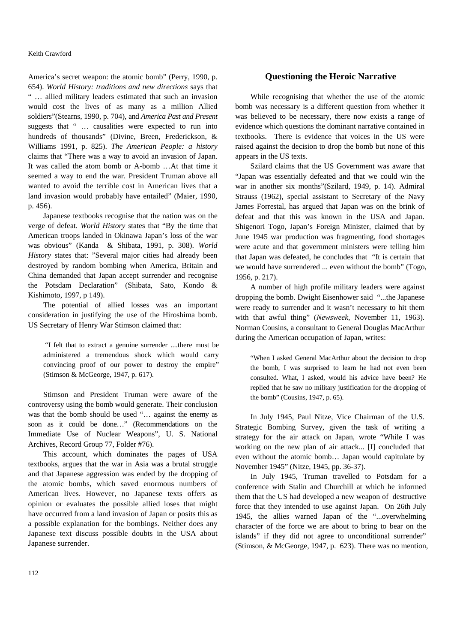America's secret weapon: the atomic bomb" (Perry, 1990, p. 654). *World History: traditions and new directions* says that " … allied military leaders estimated that such an invasion would cost the lives of as many as a million Allied soldiers"(Stearns, 1990, p. 704), and *America Past and Present* suggests that " ... causalities were expected to run into hundreds of thousands" (Divine, Breen, Frederickson, & Williams 1991, p. 825). *The American People: a history* claims that "There was a way to avoid an invasion of Japan. It was called the atom bomb or A-bomb …At that time it seemed a way to end the war. President Truman above all wanted to avoid the terrible cost in American lives that a land invasion would probably have entailed" (Maier, 1990, p. 456).

Japanese textbooks recognise that the nation was on the verge of defeat. *World History* states that "By the time that American troops landed in Okinawa Japan's loss of the war was obvious" (Kanda & Shibata, 1991, p. 308). *World History* states that: "Several major cities had already been destroyed by random bombing when America, Britain and China demanded that Japan accept surrender and recognise the Potsdam Declaration" (Shibata, Sato, Kondo & Kishimoto, 1997, p 149).

The potential of allied losses was an important consideration in justifying the use of the Hiroshima bomb. US Secretary of Henry War Stimson claimed that:

 "I felt that to extract a genuine surrender ....there must be administered a tremendous shock which would carry convincing proof of our power to destroy the empire" (Stimson & McGeorge, 1947, p. 617).

Stimson and President Truman were aware of the controversy using the bomb would generate. Their conclusion was that the bomb should be used "... against the enemy as soon as it could be done…" (Recommendations on the Immediate Use of Nuclear Weapons", U. S. National Archives, Record Group 77, Folder #76).

This account, which dominates the pages of USA textbooks, argues that the war in Asia was a brutal struggle and that Japanese aggression was ended by the dropping of the atomic bombs, which saved enormous numbers of American lives. However, no Japanese texts offers as opinion or evaluates the possible allied loses that might have occurred from a land invasion of Japan or posits this as a possible explanation for the bombings. Neither does any Japanese text discuss possible doubts in the USA about Japanese surrender.

## **Questioning the Heroic Narrative**

While recognising that whether the use of the atomic bomb was necessary is a different question from whether it was believed to be necessary, there now exists a range of evidence which questions the dominant narrative contained in textbooks. There is evidence that voices in the US were raised against the decision to drop the bomb but none of this appears in the US texts.

Szilard claims that the US Government was aware that "Japan was essentially defeated and that we could win the war in another six months"(Szilard, 1949, p. 14). Admiral Strauss (1962), special assistant to Secretary of the Navy James Forrestal, has argued that Japan was on the brink of defeat and that this was known in the USA and Japan. Shigenori Togo, Japan's Foreign Minister, claimed that by June 1945 war production was fragmenting, food shortages were acute and that government ministers were telling him that Japan was defeated, he concludes that "It is certain that we would have surrendered ... even without the bomb" (Togo, 1956, p. 217).

A number of high profile military leaders were against dropping the bomb. Dwight Eisenhower said "...the Japanese were ready to surrender and it wasn't necessary to hit them with that awful thing" (*Newsweek*, November 11, 1963). Norman Cousins, a consultant to General Douglas MacArthur during the American occupation of Japan, writes:

"When I asked General MacArthur about the decision to drop the bomb, I was surprised to learn he had not even been consulted. What, I asked, would his advice have been? He replied that he saw no military justification for the dropping of the bomb" (Cousins, 1947, p. 65).

In July 1945, Paul Nitze, Vice Chairman of the U.S. Strategic Bombing Survey, given the task of writing a strategy for the air attack on Japan, wrote "While I was working on the new plan of air attack... [I] concluded that even without the atomic bomb… Japan would capitulate by November 1945" (Nitze, 1945, pp. 36-37).

In July 1945, Truman travelled to Potsdam for a conference with Stalin and Churchill at which he informed them that the US had developed a new weapon of destructive force that they intended to use against Japan. On 26th July 1945, the allies warned Japan of the "...overwhelming character of the force we are about to bring to bear on the islands" if they did not agree to unconditional surrender" (Stimson, & McGeorge, 1947, p. 623). There was no mention,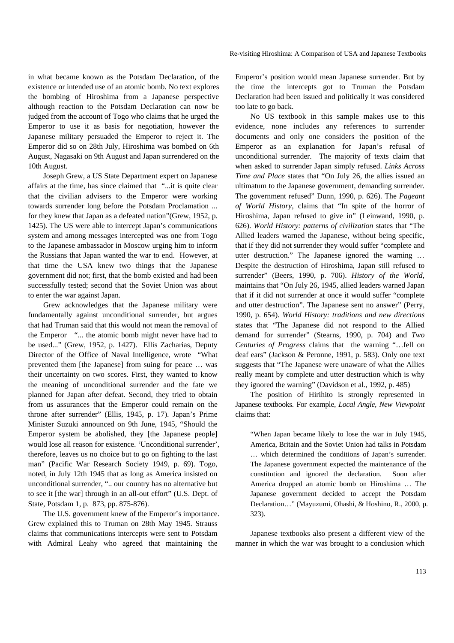in what became known as the Potsdam Declaration, of the existence or intended use of an atomic bomb. No text explores the bombing of Hiroshima from a Japanese perspective although reaction to the Potsdam Declaration can now be judged from the account of Togo who claims that he urged the Emperor to use it as basis for negotiation, however the Japanese military persuaded the Emperor to reject it. The Emperor did so on 28th July, Hiroshima was bombed on 6th August, Nagasaki on 9th August and Japan surrendered on the 10th August.

Joseph Grew, a US State Department expert on Japanese affairs at the time, has since claimed that "...it is quite clear that the civilian advisers to the Emperor were working towards surrender long before the Potsdam Proclamation ... for they knew that Japan as a defeated nation"(Grew, 1952, p. 1425). The US were able to intercept Japan's communications system and among messages intercepted was one from Togo to the Japanese ambassador in Moscow urging him to inform the Russians that Japan wanted the war to end. However, at that time the USA knew two things that the Japanese government did not; first, that the bomb existed and had been successfully tested; second that the Soviet Union was about to enter the war against Japan.

Grew acknowledges that the Japanese military were fundamentally against unconditional surrender, but argues that had Truman said that this would not mean the removal of the Emperor "... the atomic bomb might never have had to be used..." (Grew, 1952, p. 1427). Ellis Zacharias, Deputy Director of the Office of Naval Intelligence, wrote "What prevented them [the Japanese] from suing for peace … was their uncertainty on two scores. First, they wanted to know the meaning of unconditional surrender and the fate we planned for Japan after defeat. Second, they tried to obtain from us assurances that the Emperor could remain on the throne after surrender" (Ellis, 1945, p. 17). Japan's Prime Minister Suzuki announced on 9th June, 1945, "Should the Emperor system be abolished, they [the Japanese people] would lose all reason for existence. 'Unconditional surrender', therefore, leaves us no choice but to go on fighting to the last man" (Pacific War Research Society 1949, p. 69). Togo, noted, in July 12th 1945 that as long as America insisted on unconditional surrender, ".. our country has no alternative but to see it [the war] through in an all-out effort" (U.S. Dept. of State, Potsdam 1, p. 873, pp. 875-876).

The U.S. government knew of the Emperor's importance. Grew explained this to Truman on 28th May 1945. Strauss claims that communications intercepts were sent to Potsdam with Admiral Leahy who agreed that maintaining the

Emperor's position would mean Japanese surrender. But by the time the intercepts got to Truman the Potsdam Declaration had been issued and politically it was considered too late to go back.

No US textbook in this sample makes use to this evidence, none includes any references to surrender documents and only one considers the position of the Emperor as an explanation for Japan's refusal of unconditional surrender. The majority of texts claim that when asked to surrender Japan simply refused. *Links Across Time and Place* states that "On July 26, the allies issued an ultimatum to the Japanese government, demanding surrender. The government refused" Dunn, 1990, p. 626). The *Pageant of World History,* claims that "In spite of the horror of Hiroshima, Japan refused to give in" (Leinwand, 1990, p. 626). *World History: patterns of civilization* states that "The Allied leaders warned the Japanese, without being specific, that if they did not surrender they would suffer "complete and utter destruction." The Japanese ignored the warning … Despite the destruction of Hiroshima, Japan still refused to surrender" (Beers, 1990, p. 706). *History of the World,* maintains that "On July 26, 1945, allied leaders warned Japan that if it did not surrender at once it would suffer "complete and utter destruction". The Japanese sent no answer" (Perry, 1990, p. 654). *World History: traditions and new directions* states that "The Japanese did not respond to the Allied demand for surrender" (Stearns, 1990, p. 704) and *Two Centuries of Progress* claims that the warning "…fell on deaf ears" (Jackson & Peronne, 1991, p. 583). Only one text suggests that "The Japanese were unaware of what the Allies really meant by complete and utter destruction which is why they ignored the warning" (Davidson et al., 1992, p. 485)

The position of Hirihito is strongly represented in Japanese textbooks*.* For example, *Local Angle, New Viewpoint*  claims that:

"When Japan became likely to lose the war in July 1945, America, Britain and the Soviet Union had talks in Potsdam … which determined the conditions of Japan's surrender. The Japanese government expected the maintenance of the constitution and ignored the declaration. Soon after America dropped an atomic bomb on Hiroshima … The Japanese government decided to accept the Potsdam Declaration…" (Mayuzumi, Ohashi, & Hoshino, R., 2000, p. 323).

Japanese textbooks also present a different view of the manner in which the war was brought to a conclusion which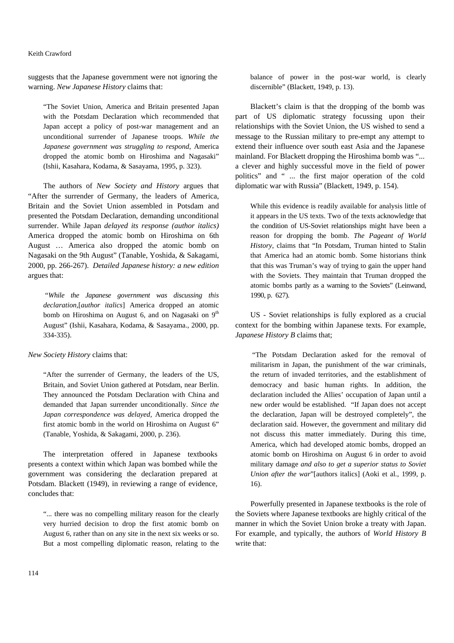#### Keith Crawford

suggests that the Japanese government were not ignoring the warning. *New Japanese History* claims that:

"The Soviet Union, America and Britain presented Japan with the Potsdam Declaration which recommended that Japan accept a policy of post-war management and an unconditional surrender of Japanese troops. *While the Japanese government was struggling to respond*, America dropped the atomic bomb on Hiroshima and Nagasaki" (Ishii, Kasahara, Kodama, & Sasayama, 1995, p. 323).

The authors of *New Society and History* argues that "After the surrender of Germany, the leaders of America, Britain and the Soviet Union assembled in Potsdam and presented the Potsdam Declaration, demanding unconditional surrender. While Japan *delayed its response (author italics)* America dropped the atomic bomb on Hiroshima on 6th August … America also dropped the atomic bomb on Nagasaki on the 9th August" (Tanable, Yoshida, & Sakagami, 2000, pp. 266-267). *Detailed Japanese history: a new edition*  argues that:

"*While the Japanese government was discussing this declaration,*[*author italics*] America dropped an atomic bomb on Hiroshima on August 6, and on Nagasaki on  $9<sup>th</sup>$ August" (Ishii, Kasahara, Kodama, & Sasayama., 2000, pp. 334-335).

*New Society History* claims that:

"After the surrender of Germany, the leaders of the US, Britain, and Soviet Union gathered at Potsdam, near Berlin. They announced the Potsdam Declaration with China and demanded that Japan surrender unconditionally. *Since the Japan correspondence was delayed,* America dropped the first atomic bomb in the world on Hiroshima on August 6" (Tanable, Yoshida, & Sakagami, 2000, p. 236).

The interpretation offered in Japanese textbooks presents a context within which Japan was bombed while the government was considering the declaration prepared at Potsdam. Blackett (1949), in reviewing a range of evidence, concludes that:

"... there was no compelling military reason for the clearly very hurried decision to drop the first atomic bomb on August 6, rather than on any site in the next six weeks or so. But a most compelling diplomatic reason, relating to the

balance of power in the post-war world, is clearly discernible" (Blackett, 1949, p. 13).

Blackett's claim is that the dropping of the bomb was part of US diplomatic strategy focussing upon their relationships with the Soviet Union, the US wished to send a message to the Russian military to pre-empt any attempt to extend their influence over south east Asia and the Japanese mainland. For Blackett dropping the Hiroshima bomb was "... a clever and highly successful move in the field of power politics" and " ... the first major operation of the cold diplomatic war with Russia" (Blackett, 1949, p. 154).

While this evidence is readily available for analysis little of it appears in the US texts. Two of the texts acknowledge that the condition of US-Soviet relationships might have been a reason for dropping the bomb. *The Pageant of World History*, claims that "In Potsdam, Truman hinted to Stalin that America had an atomic bomb. Some historians think that this was Truman's way of trying to gain the upper hand with the Soviets. They maintain that Truman dropped the atomic bombs partly as a warning to the Soviets" (Leinwand, 1990, p. 627).

US - Soviet relationships is fully explored as a crucial context for the bombing within Japanese texts. For example, *Japanese History B* claims that;

 "The Potsdam Declaration asked for the removal of militarism in Japan, the punishment of the war criminals, the return of invaded territories, and the establishment of democracy and basic human rights. In addition, the declaration included the Allies' occupation of Japan until a new order would be established. "If Japan does not accept the declaration, Japan will be destroyed completely", the declaration said. However, the government and military did not discuss this matter immediately. During this time, America, which had developed atomic bombs, dropped an atomic bomb on Hiroshima on August 6 in order to avoid military damage *and also to get a superior status to Soviet Union after the war*"[authors italics] (Aoki et al*.*, 1999, p. 16).

Powerfully presented in Japanese textbooks is the role of the Soviets where Japanese textbooks are highly critical of the manner in which the Soviet Union broke a treaty with Japan. For example, and typically, the authors of *World History B* write that: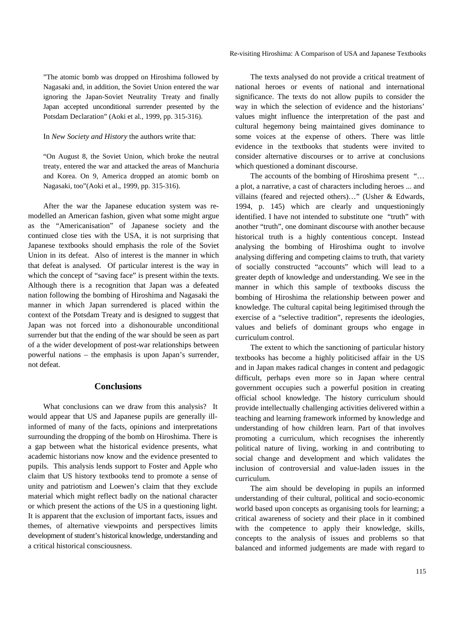"The atomic bomb was dropped on Hiroshima followed by Nagasaki and, in addition, the Soviet Union entered the war ignoring the Japan-Soviet Neutrality Treaty and finally Japan accepted unconditional surrender presented by the Potsdam Declaration" (Aoki et al*.,* 1999, pp. 315-316).

In *New Society and History* the authors write that:

"On August 8, the Soviet Union, which broke the neutral treaty, entered the war and attacked the areas of Manchuria and Korea. On 9, America dropped an atomic bomb on Nagasaki, too"(Aoki et al., 1999, pp. 315-316).

After the war the Japanese education system was remodelled an American fashion, given what some might argue as the "Americanisation" of Japanese society and the continued close ties with the USA, it is not surprising that Japanese textbooks should emphasis the role of the Soviet Union in its defeat. Also of interest is the manner in which that defeat is analysed. Of particular interest is the way in which the concept of "saving face" is present within the texts. Although there is a recognition that Japan was a defeated nation following the bombing of Hiroshima and Nagasaki the manner in which Japan surrendered is placed within the context of the Potsdam Treaty and is designed to suggest that Japan was not forced into a dishonourable unconditional surrender but that the ending of the war should be seen as part of a the wider development of post-war relationships between powerful nations – the emphasis is upon Japan's surrender, not defeat.

#### **Conclusions**

What conclusions can we draw from this analysis? It would appear that US and Japanese pupils are generally illinformed of many of the facts, opinions and interpretations surrounding the dropping of the bomb on Hiroshima. There is a gap between what the historical evidence presents, what academic historians now know and the evidence presented to pupils. This analysis lends support to Foster and Apple who claim that US history textbooks tend to promote a sense of unity and patriotism and Loewen's claim that they exclude material which might reflect badly on the national character or which present the actions of the US in a questioning light. It is apparent that the exclusion of important facts, issues and themes, of alternative viewpoints and perspectives limits development of student's historical knowledge, understanding and a critical historical consciousness.

The texts analysed do not provide a critical treatment of national heroes or events of national and international significance. The texts do not allow pupils to consider the way in which the selection of evidence and the historians' values might influence the interpretation of the past and cultural hegemony being maintained gives dominance to some voices at the expense of others. There was little evidence in the textbooks that students were invited to consider alternative discourses or to arrive at conclusions which questioned a dominant discourse.

The accounts of the bombing of Hiroshima present "… a plot, a narrative, a cast of characters including heroes ... and villains (feared and rejected others)…" (Usher & Edwards, 1994, p. 145) which are clearly and unquestioningly identified. I have not intended to substitute one "truth" with another "truth", one dominant discourse with another because historical truth is a highly contentious concept. Instead analysing the bombing of Hiroshima ought to involve analysing differing and competing claims to truth, that variety of socially constructed "accounts" which will lead to a greater depth of knowledge and understanding. We see in the manner in which this sample of textbooks discuss the bombing of Hiroshima the relationship between power and knowledge. The cultural capital being legitimised through the exercise of a "selective tradition", represents the ideologies, values and beliefs of dominant groups who engage in curriculum control.

The extent to which the sanctioning of particular history textbooks has become a highly politicised affair in the US and in Japan makes radical changes in content and pedagogic difficult, perhaps even more so in Japan where central government occupies such a powerful position in creating official school knowledge. The history curriculum should provide intellectually challenging activities delivered within a teaching and learning framework informed by knowledge and understanding of how children learn. Part of that involves promoting a curriculum, which recognises the inherently political nature of living, working in and contributing to social change and development and which validates the inclusion of controversial and value-laden issues in the curriculum.

The aim should be developing in pupils an informed understanding of their cultural, political and socio-economic world based upon concepts as organising tools for learning; a critical awareness of society and their place in it combined with the competence to apply their knowledge, skills, concepts to the analysis of issues and problems so that balanced and informed judgements are made with regard to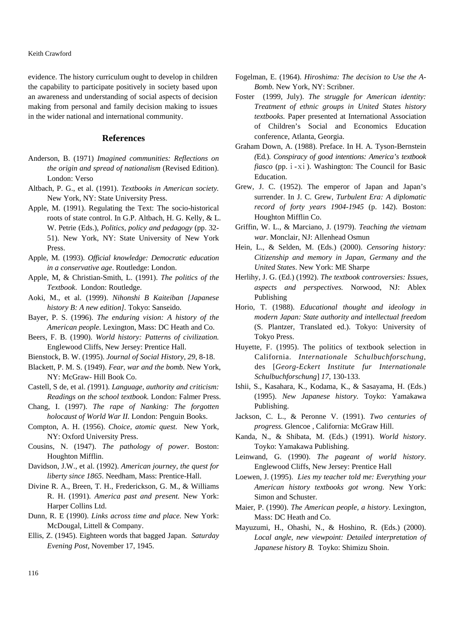evidence. The history curriculum ought to develop in children the capability to participate positively in society based upon an awareness and understanding of social aspects of decision making from personal and family decision making to issues in the wider national and international community.

### **References**

- Anderson, B. (1971) *Imagined communities: Reflections on the origin and spread of nationalism* (Revised Edition). London: Verso
- Altbach, P. G., et al. (1991). *Textbooks in American society.*  New York, NY: State University Press.
- Apple, M. (1991). Regulating the Text: The socio-historical roots of state control. In G.P. Altbach, H. G. Kelly, & L. W. Petrie (Eds.), *Politics, policy and pedagogy* (pp. 32- 51). New York, NY: State University of New York Press.
- Apple, M. (1993). *Official knowledge: Democratic education in a conservative age*. Routledge: London.
- Apple, M, & Christian-Smith, L. (1991). *The politics of the Textbook*. London: Routledge.
- Aoki, M., et al. (1999). *Nihonshi B Kaiteiban [Japanese history B: A new edition].* Tokyo: Sanseido.
- Bayer, P. S. (1996). *The enduring vision: A history of the American people*. Lexington, Mass: DC Heath and Co.
- Beers, F. B. (1990). *World history: Patterns of civilization.* Englewood Cliffs, New Jersey: Prentice Hall.
- Bienstock, B. W. (1995). *Journal of Social History*, *29*, 8-18.
- Blackett, P. M. S. (1949). *Fear, war and the bomb.* New York, NY: McGraw- Hill Book Co.
- Castell, S de, et al. *(*1991). *Language, authority and criticism: Readings on the school textbook.* London: Falmer Press.
- Chang, I. (1997). *The rape of Nanking: The forgotten holocaust of World War II.* London: Penguin Books.
- Compton, A. H. (1956). *Choice, atomic quest*. New York, NY: Oxford University Press.
- Cousins, N. (1947). *The pathology of power*. Boston: Houghton Mifflin.
- Davidson, J.W., et al. (1992). *American journey, the quest for liberty since 1865*. Needham, Mass: Prentice-Hall.
- Divine R. A., Breen, T. H., Frederickson, G. M., & Williams R. H. (1991). *America past and present.* New York: Harper Collins Ltd.
- Dunn, R. E (1990). *Links across time and place.* New York: McDougal, Littell & Company.
- Ellis, Z. (1945). Eighteen words that bagged Japan. *Saturday Evening Post*, November 17, 1945.
- Fogelman, E. (1964). *Hiroshima: The decision to Use the A-Bomb.* New York, NY: Scribner.
- Foster (1999, July). *The struggle for American identity: Treatment of ethnic groups in United States history textbooks.* Paper presented at International Association of Children's Social and Economics Education conference, Atlanta, Georgia.
- Graham Down, A. (1988). Preface. In H. A*.* Tyson-Bernstein *(*Ed*.*). *Conspiracy of good intentions: America's textbook fiasco* (pp. *i* - x*i*). Washington: The Council for Basic Education.
- Grew, J. C. (1952). The emperor of Japan and Japan's surrender. In J. C. Grew, *Turbulent Era: A diplomatic record of forty years 1904-1945* (p. 142). Boston: Houghton Mifflin Co.
- Griffin, W. L., & Marciano, J. (1979). *Teaching the vietnam war*. Monclair, NJ: Allenhead Osmun
- Hein, L., & Selden, M. (Eds.) (2000). *Censoring history: Citizenship and memory in Japan, Germany and the United States*. New York: ME Sharpe
- Herlihy, J. G. (Ed.) (1992). *The textbook controversies: Issues, aspects and perspectives.* Norwood, NJ: Ablex Publishing
- Horio, T. (1988). *Educational thought and ideology in modern Japan: State authority and intellectual freedom*  (S. Plantzer, Translated ed.). Tokyo: University of Tokyo Press.
- Huyette, F. (1995). The politics of textbook selection in California. *Internationale Schulbuchforschung*, des [*Georg-Eckert Institute fur Internationale Schulbuchforschung*] *17*, 130-133.
- Ishii, S., Kasahara, K., Kodama, K., & Sasayama, H. (Eds.) (1995). *New Japanese history.* Toyko: Yamakawa Publishing.
- Jackson, C. L., & Peronne V. (1991). *Two centuries of progress.* Glencoe , California: McGraw Hill.
- Kanda, N., & Shibata, M. (Eds.) (1991). *World history*. Toyko: Yamakawa Publishing.
- Leinwand, G. (1990). *The pageant of world history*. Englewood Cliffs, New Jersey: Prentice Hall
- Loewen, J. (1995). *Lies my teacher told me: Everything your American history textbooks got wrong.* New York: Simon and Schuster.
- Maier, P. (1990). *The American people, a history*. Lexington, Mass: DC Heath and Co.
- Mayuzumi, H., Ohashi, N., & Hoshino, R. (Eds.) (2000). *Local angle, new viewpoint: Detailed interpretation of Japanese history B.* Toyko: Shimizu Shoin.